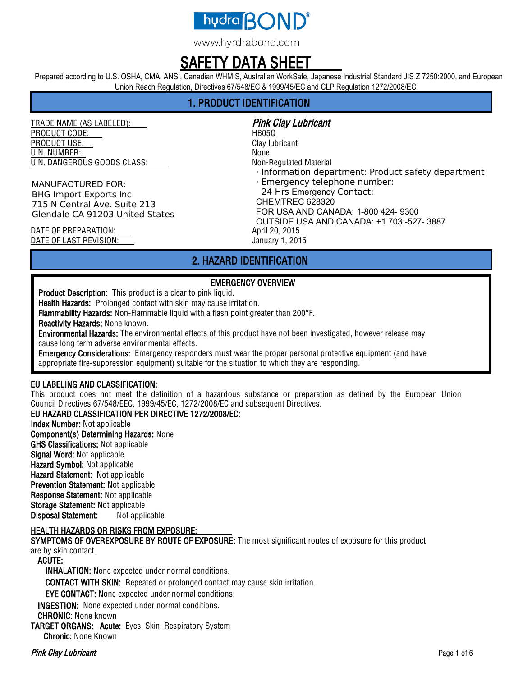

www.hyrdrabond.com

# SAFETY DATA SHEET

Prepared according to U.S. OSHA, CMA, ANSI, Canadian WHMIS, Australian WorkSafe, Japanese Industrial Standard JIS Z 7250:2000, and European Union Reach Regulation, Directives 67/548/EC & 1999/45/EC and CLP Regulation 1272/2008/EC

## 1. PRODUCT IDENTIFICATION

TRADE NAME (AS LABELED): Pink Clay Lubricant PRODUCT CODE: HB05Q **PRODUCT USE:** Clay lubricant U.N. NUMBER: None U.N. DANGEROUS GOODS CLASS: Non-Regulated Material

MANUFACTURED FOR: BHG Import Exports Inc. 715 N Central Ave. Suite 213 Glendale CA 91203 United States

· Information department: Product safety department · Emergency telephone number: 24 Hrs Emergency Contact: CHEMTREC 628320 FOR USA AND CANADA: 1-800 424- 9300 OUTSIDE USA AND CANADA: +1 703 -527- 3887

DATE OF PREPARATION: April 20, 2015 DATE OF LAST REVISION: January 1, 2015

### 2. HAZARD IDENTIFICATION

#### EMERGENCY OVERVIEW

Product Description: This product is a clear to pink liquid.

Health Hazards: Prolonged contact with skin may cause irritation.

Flammability Hazards: Non-Flammable liquid with a flash point greater than 200°F.

Reactivity Hazards: None known.

Environmental Hazards: The environmental effects of this product have not been investigated, however release may cause long term adverse environmental effects.

**Emergency Considerations:** Emergency responders must wear the proper personal protective equipment (and have appropriate fire-suppression equipment) suitable for the situation to which they are responding.

#### EU LABELING AND CLASSIFICATION:

This product does not meet the definition of a hazardous substance or preparation as defined by the European Union Council Directives 67/548/EEC, 1999/45/EC, 1272/2008/EC and subsequent Directives.

#### EU HAZARD CLASSIFICATION PER DIRECTIVE 1272/2008/EC:

Index Number: Not applicable Component(s) Determining Hazards: None GHS Classifications: Not applicable Signal Word: Not applicable Hazard Symbol: Not applicable Hazard Statement: Not applicable Prevention Statement: Not applicable Response Statement: Not applicable Storage Statement: Not applicable Disposal Statement: Not applicable

#### HEALTH HAZARDS OR RISKS FROM EXPOSURE:

SYMPTOMS OF OVEREXPOSURE BY ROUTE OF EXPOSURE: The most significant routes of exposure for this product are by skin contact.

ACUTE:

INHALATION: None expected under normal conditions.

CONTACT WITH SKIN: Repeated or prolonged contact may cause skin irritation.

EYE CONTACT: None expected under normal conditions.

INGESTION: None expected under normal conditions.

CHRONIC: None known

TARGET ORGANS: Acute: Eyes, Skin, Respiratory System Chronic: None Known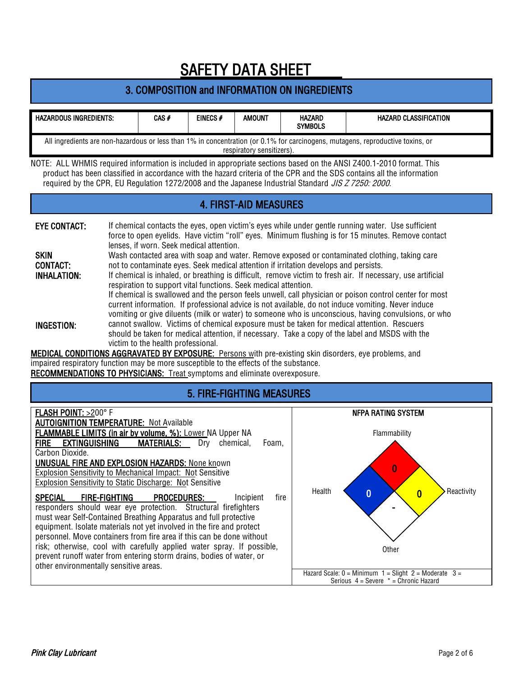# 3. COMPOSITION and INFORMATION ON INGREDIENTS

| HAZARDOUS INGREDIENTS:                                                                                                         | CAS f | EINECS# | AMOUNT | <b>HAZARD</b><br><b>SYMBOLS</b> | HAZARD CLASSIFICATION |  |
|--------------------------------------------------------------------------------------------------------------------------------|-------|---------|--------|---------------------------------|-----------------------|--|
| All ingredients are non-hazardous or less than 1% in concentration (or 0.1% for carcinogens, mutagens, reproductive toxins, or |       |         |        |                                 |                       |  |
| respiratory sensitizers).                                                                                                      |       |         |        |                                 |                       |  |

NOTE: ALL WHMIS required information is included in appropriate sections based on the ANSI Z400.1-2010 format. This product has been classified in accordance with the hazard criteria of the CPR and the SDS contains all the information required by the CPR, EU Regulation 1272/2008 and the Japanese Industrial Standard JIS Z 7250: 2000.

## 4. FIRST-AID MEASURES

| <b>EYE CONTACT:</b> | If chemical contacts the eyes, open victim's eyes while under gentle running water. Use sufficient<br>force to open eyelids. Have victim "roll" eyes. Minimum flushing is for 15 minutes. Remove contact<br>lenses, if worn. Seek medical attention.                                                                |
|---------------------|---------------------------------------------------------------------------------------------------------------------------------------------------------------------------------------------------------------------------------------------------------------------------------------------------------------------|
| <b>SKIN</b>         | Wash contacted area with soap and water. Remove exposed or contaminated clothing, taking care                                                                                                                                                                                                                       |
| <b>CONTACT:</b>     | not to contaminate eyes. Seek medical attention if irritation develops and persists.                                                                                                                                                                                                                                |
| <b>INHALATION:</b>  | If chemical is inhaled, or breathing is difficult, remove victim to fresh air. If necessary, use artificial<br>respiration to support vital functions. Seek medical attention.                                                                                                                                      |
|                     | If chemical is swallowed and the person feels unwell, call physician or poison control center for most<br>current information. If professional advice is not available, do not induce vomiting. Never induce<br>vomiting or give diluents (milk or water) to someone who is unconscious, having convulsions, or who |
| <b>INGESTION:</b>   | cannot swallow. Victims of chemical exposure must be taken for medical attention. Rescuers<br>should be taken for medical attention, if necessary. Take a copy of the label and MSDS with the<br>victim to the health professional.                                                                                 |

MEDICAL CONDITIONS AGGRAVATED BY EXPOSURE: Persons with pre-existing skin disorders, eye problems, and impaired respiratory function may be more susceptible to the effects of the substance. RECOMMENDATIONS TO PHYSICIANS: Treat symptoms and eliminate overexposure.

## 5. FIRE-FIGHTING MEASURES

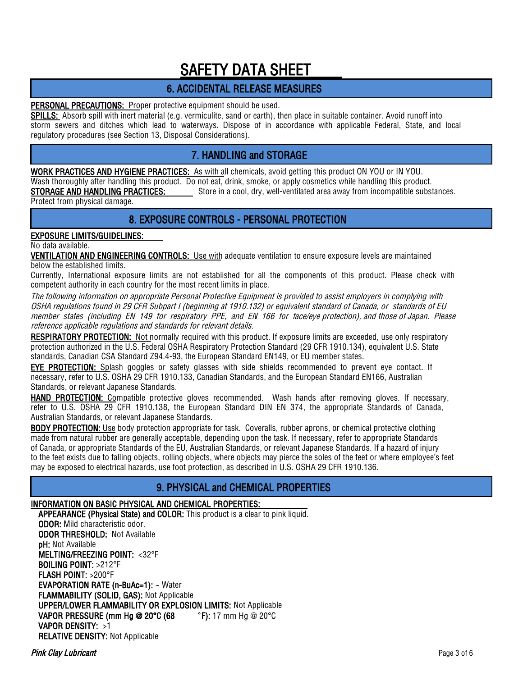## 6. ACCIDENTAL RELEASE MEASURES

#### PERSONAL PRECAUTIONS: Proper protective equipment should be used.

SPILLS: Absorb spill with inert material (e.g. vermiculite, sand or earth), then place in suitable container. Avoid runoff into storm sewers and ditches which lead to waterways. Dispose of in accordance with applicable Federal, State, and local regulatory procedures (see Section 13, Disposal Considerations).

## 7. HANDLING and STORAGE

WORK PRACTICES AND HYGIENE PRACTICES: As with all chemicals, avoid getting this product ON YOU or IN YOU. Wash thoroughly after handling this product. Do not eat, drink, smoke, or apply cosmetics while handling this product.

STORAGE AND HANDLING PRACTICES: Store in a cool, dry, well-ventilated area away from incompatible substances.

Protect from physical damage.

## 8. EXPOSURE CONTROLS - PERSONAL PROTECTION

#### EXPOSURE LIMITS/GUIDELINES:

No data available.

VENTILATION AND ENGINEERING CONTROLS: Use with adequate ventilation to ensure exposure levels are maintained below the established limits.

Currently, International exposure limits are not established for all the components of this product. Please check with competent authority in each country for the most recent limits in place.

The following information on appropriate Personal Protective Equipment is provided to assist employers in complying with OSHA regulations found in 29 CFR Subpart I (beginning at 1910.132) or equivalent standard of Canada, or standards of EU member states (including EN 149 for respiratory PPE, and EN 166 for face/eye protection), and those of Japan. Please reference applicable regulations and standards for relevant details.

RESPIRATORY PROTECTION: Not normally required with this product. If exposure limits are exceeded, use only respiratory protection authorized in the U.S. Federal OSHA Respiratory Protection Standard (29 CFR 1910.134), equivalent U.S. State standards, Canadian CSA Standard Z94.4-93, the European Standard EN149, or EU member states.

EYE PROTECTION: Splash goggles or safety glasses with side shields recommended to prevent eye contact. If necessary, refer to U.S. OSHA 29 CFR 1910.133, Canadian Standards, and the European Standard EN166, Australian Standards, or relevant Japanese Standards.

HAND PROTECTION: Compatible protective gloves recommended. Wash hands after removing gloves. If necessary, refer to U.S. OSHA 29 CFR 1910.138, the European Standard DIN EN 374, the appropriate Standards of Canada, Australian Standards, or relevant Japanese Standards.

BODY PROTECTION: Use body protection appropriate for task. Coveralls, rubber aprons, or chemical protective clothing made from natural rubber are generally acceptable, depending upon the task. If necessary, refer to appropriate Standards of Canada, or appropriate Standards of the EU, Australian Standards, or relevant Japanese Standards. If a hazard of injury to the feet exists due to falling objects, rolling objects, where objects may pierce the soles of the feet or where employee's feet may be exposed to electrical hazards, use foot protection, as described in U.S. OSHA 29 CFR 1910.136.

## 9. PHYSICAL and CHEMICAL PROPERTIES

### INFORMATION ON BASIC PHYSICAL AND CHEMICAL PROPERTIES:

APPEARANCE (Physical State) and COLOR: This product is a clear to pink liquid.

ODOR: Mild characteristic odor. ODOR THRESHOLD: Not Available pH: Not Available MELTING/FREEZING POINT: <32°F BOILING POINT: >212°F FLASH POINT: >200°F EVAPORATION RATE (n-BuAc=1): ~ Water FLAMMABILITY (SOLID, GAS): Not Applicable UPPER/LOWER FLAMMABILITY OR EXPLOSION LIMITS: Not Applicable VAPOR PRESSURE (mm Hg @ 20°C (68 ° F): 17 mm Hg @ 20°C VAPOR DENSITY: >1 RELATIVE DENSITY: Not Applicable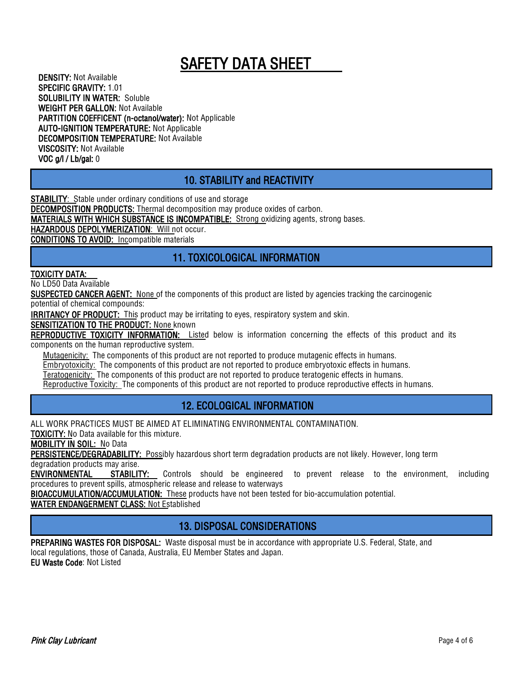DENSITY: Not Available SPECIFIC GRAVITY: 1.01 SOLUBILITY IN WATER: Soluble WEIGHT PER GALLON: Not Available PARTITION COEFFICENT (n-octanol/water): Not Applicable AUTO-IGNITION TEMPERATURE: Not Applicable DECOMPOSITION TEMPERATURE: Not Available VISCOSITY: Not Available VOC g/l / Lb/gal: 0

# 10. STABILITY and REACTIVITY

**STABILITY**: Stable under ordinary conditions of use and storage

DECOMPOSITION PRODUCTS: Thermal decomposition may produce oxides of carbon.

MATERIALS WITH WHICH SUBSTANCE IS INCOMPATIBLE: Strong oxidizing agents, strong bases.

HAZARDOUS DEPOLYMERIZATION: Will not occur.

CONDITIONS TO AVOID: Incompatible materials

# 11. TOXICOLOGICAL INFORMATION

#### TOXICITY DATA:

No LD50 Data Available

SUSPECTED CANCER AGENT: None of the components of this product are listed by agencies tracking the carcinogenic

potential of chemical compounds:

**IRRITANCY OF PRODUCT:** This product may be irritating to eyes, respiratory system and skin.

SENSITIZATION TO THE PRODUCT: None known

REPRODUCTIVE TOXICITY INFORMATION: Listed below is information concerning the effects of this product and its components on the human reproductive system.

Mutagenicity: The components of this product are not reported to produce mutagenic effects in humans.

Embryotoxicity: The components of this product are not reported to produce embryotoxic effects in humans.

Teratogenicity: The components of this product are not reported to produce teratogenic effects in humans.

Reproductive Toxicity: The components of this product are not reported to produce reproductive effects in humans.

## 12. ECOLOGICAL INFORMATION

ALL WORK PRACTICES MUST BE AIMED AT ELIMINATING ENVIRONMENTAL CONTAMINATION.

TOXICITY: No Data available for this mixture.

MOBILITY IN SOIL: No Data

PERSISTENCE/DEGRADABILITY: Possibly hazardous short term degradation products are not likely. However, long term degradation products may arise.

ENVIRONMENTAL STABILITY: Controls should be engineered to prevent release to the environment, including procedures to prevent spills, atmospheric release and release to waterways

BIOACCUMULATION/ACCUMULATION: These products have not been tested for bio-accumulation potential.

WATER ENDANGERMENT CLASS: Not Established

## 13. DISPOSAL CONSIDERATIONS

PREPARING WASTES FOR DISPOSAL: Waste disposal must be in accordance with appropriate U.S. Federal, State, and local regulations, those of Canada, Australia, EU Member States and Japan. EU Waste Code: Not Listed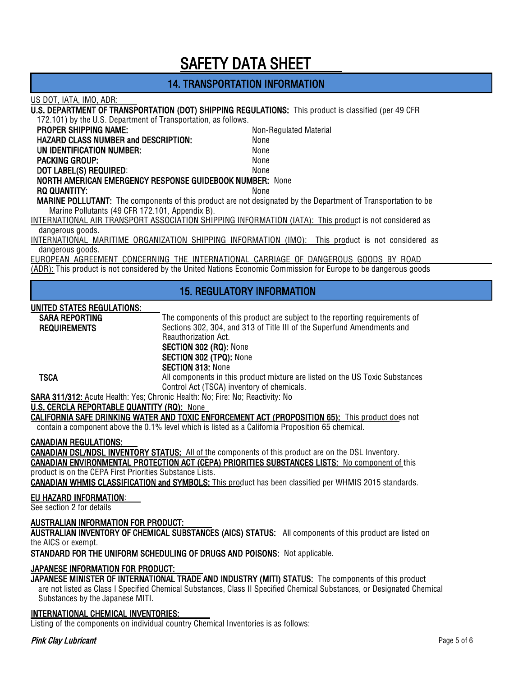## 14. TRANSPORTATION INFORMATION

#### US DOT, IATA, IMO, ADR:

U.S. DEPARTMENT OF TRANSPORTATION (DOT) SHIPPING REGULATIONS: This product is classified (per 49 CFR

172.101) by the U.S. Department of Transportation, as follows.

| <b>PROPER SHIPPING NAME:</b>                                                                                         | Non-Regulated Material |  |  |  |
|----------------------------------------------------------------------------------------------------------------------|------------------------|--|--|--|
| <b>HAZARD CLASS NUMBER and DESCRIPTION:</b>                                                                          | None                   |  |  |  |
| UN IDENTIFICATION NUMBER:                                                                                            | None                   |  |  |  |
| <b>PACKING GROUP:</b>                                                                                                | None                   |  |  |  |
| DOT LABEL(S) REQUIRED:                                                                                               | None                   |  |  |  |
| <b>NORTH AMERICAN EMERGENCY RESPONSE GUIDEBOOK NUMBER: None</b>                                                      |                        |  |  |  |
| RQ QUANTITY:                                                                                                         | None                   |  |  |  |
| <b>MARINE POLLUTANT:</b> The components of this product are not designated by the Department of Transportation to be |                        |  |  |  |
| Marine Pollutants (49 CFR 172.101, Appendix B).                                                                      |                        |  |  |  |

INTERNATIONAL AIR TRANSPORT ASSOCIATION SHIPPING INFORMATION (IATA): This product is not considered as dangerous goods.

INTERNATIONAL MARITIME ORGANIZATION SHIPPING INFORMATION (IMO): This product is not considered as dangerous goods.

EUROPEAN AGREEMENT CONCERNING THE INTERNATIONAL CARRIAGE OF DANGEROUS GOODS BY ROAD (ADR): This product is not considered by the United Nations Economic Commission for Europe to be dangerous goods

### 15. REGULATORY INFORMATION

#### UNITED STATES REGULATIONS:

| <b>SARA REPORTING</b>                                                                     | The components of this product are subject to the reporting requirements of   |  |  |
|-------------------------------------------------------------------------------------------|-------------------------------------------------------------------------------|--|--|
| <b>REQUIREMENTS</b>                                                                       | Sections 302, 304, and 313 of Title III of the Superfund Amendments and       |  |  |
|                                                                                           | <b>Reauthorization Act.</b>                                                   |  |  |
|                                                                                           | SECTION 302 (RQ): None                                                        |  |  |
|                                                                                           | SECTION 302 (TPQ): None                                                       |  |  |
|                                                                                           | <b>SECTION 313: None</b>                                                      |  |  |
| <b>TSCA</b>                                                                               | All components in this product mixture are listed on the US Toxic Substances  |  |  |
|                                                                                           | Control Act (TSCA) inventory of chemicals.                                    |  |  |
|                                                                                           | SARA 311/312: Acute Health: Yes; Chronic Health: No; Fire: No; Reactivity: No |  |  |
| $\mathbf{H} \cap \mathbf{H}$ and a reportant following (roll $\mathbf{H} \cap \mathbf{H}$ |                                                                               |  |  |

#### U.S. CERCLA REPORTABLE QUANTITY (RQ): None

CALIFORNIA SAFE DRINKING WATER AND TOXIC ENFORCEMENT ACT (PROPOSITION 65): This product does not contain a component above the 0.1% level which is listed as a California Proposition 65 chemical.

#### CANADIAN REGULATIONS:

CANADIAN DSL/NDSL INVENTORY STATUS: All of the components of this product are on the DSL Inventory. CANADIAN ENVIRONMENTAL PROTECTION ACT (CEPA) PRIORITIES SUBSTANCES LISTS: No component of this

product is on the CEPA First Priorities Substance Lists.

CANADIAN WHMIS CLASSIFICATION and SYMBOLS: This product has been classified per WHMIS 2015 standards.

#### EU HAZARD INFORMATION:

See section 2 for details

#### AUSTRALIAN INFORMATION FOR PRODUCT:

AUSTRALIAN INVENTORY OF CHEMICAL SUBSTANCES (AICS) STATUS: All components of this product are listed on the AICS or exempt.

STANDARD FOR THE UNIFORM SCHEDULING OF DRUGS AND POISONS: Not applicable.

#### JAPANESE INFORMATION FOR PRODUCT:

JAPANESE MINISTER OF INTERNATIONAL TRADE AND INDUSTRY (MITI) STATUS: The components of this product are not listed as Class I Specified Chemical Substances, Class II Specified Chemical Substances, or Designated Chemical Substances by the Japanese MITI.

#### INTERNATIONAL CHEMICAL INVENTORIES:

Listing of the components on individual country Chemical Inventories is as follows: